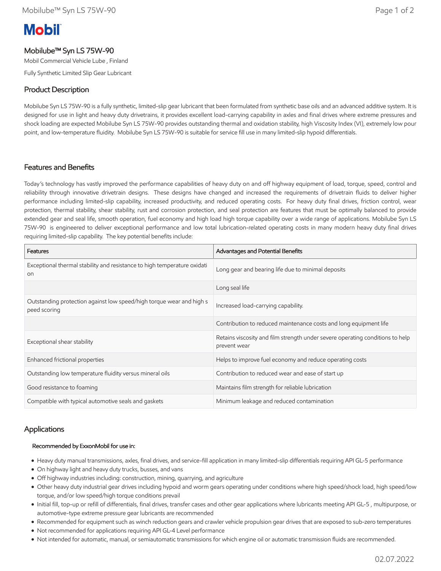# **Mobil**

# Mobilube™ Syn LS 75W-90

Mobil Commercial Vehicle Lube , Finland

Fully Synthetic Limited Slip Gear Lubricant

# Product Description

Mobilube Syn LS 75W-90 is a fully synthetic, limited-slip gear lubricant that been formulated from synthetic base oils and an advanced additive system. It is designed for use in light and heavy duty drivetrains, it provides excellent load-carrying capability in axles and final drives where extreme pressures and shock loading are expected Mobilube Syn LS 75W-90 provides outstanding thermal and oxidation stability, high Viscosity Index (VI), extremely low pour point, and low-temperature fluidity. Mobilube Syn LS 75W-90 is suitable for service fill use in many limited-slip hypoid differentials.

# Features and Benefits

Today's technology has vastly improved the performance capabilities of heavy duty on and off highway equipment of load, torque, speed, control and reliability through innovative drivetrain designs. These designs have changed and increased the requirements of drivetrain fluids to deliver higher performance including limited-slip capability, increased productivity, and reduced operating costs. For heavy duty final drives, friction control, wear protection, thermal stability, shear stability, rust and corrosion protection, and seal protection are features that must be optimally balanced to provide extended gear and seal life, smooth operation, fuel economy and high load high torque capability over a wide range of applications. Mobilube Syn LS 75W-90 is engineered to deliver exceptional performance and low total lubrication-related operating costs in many modern heavy duty final drives requiring limited-slip capability. The key potential benefits include:

| Features                                                                                   | Advantages and Potential Benefits                                                             |
|--------------------------------------------------------------------------------------------|-----------------------------------------------------------------------------------------------|
| Exceptional thermal stability and resistance to high temperature oxidati<br>O <sub>0</sub> | Long gear and bearing life due to minimal deposits                                            |
|                                                                                            | Long seal life                                                                                |
| Outstanding protection against low speed/high torque wear and high s<br>peed scoring       | Increased load-carrying capability.                                                           |
|                                                                                            | Contribution to reduced maintenance costs and long equipment life                             |
| Exceptional shear stability                                                                | Retains viscosity and film strength under severe operating conditions to help<br>prevent wear |
| Enhanced frictional properties                                                             | Helps to improve fuel economy and reduce operating costs                                      |
| Outstanding low temperature fluidity versus mineral oils                                   | Contribution to reduced wear and ease of start up                                             |
| Good resistance to foaming                                                                 | Maintains film strength for reliable lubrication                                              |
| Compatible with typical automotive seals and gaskets                                       | Minimum leakage and reduced contamination                                                     |

## Applications

#### Recommended by ExxonMobil for use in:

- Heavy duty manual transmissions, axles, final drives, and service-fill application in many limited-slip differentials requiring API GL-5 performance
- On highway light and heavy duty trucks, busses, and vans
- Off highway industries including: construction, mining, quarrying, and agriculture
- Other heavy duty industrial gear drives including hypoid and worm gears operating under conditions where high speed/shock load, high speed/low torque, and/or low speed/high torque conditions prevail
- Initial fill, top-up or refill of differentials, final drives, transfer cases and other gear applications where lubricants meeting API GL-5 , multipurpose, or automotive-type extreme pressure gear lubricants are recommended
- Recommended for equipment such as winch reduction gears and crawler vehicle propulsion gear drives that are exposed to sub-zero temperatures
- Not recommended for applications requiring API GL-4 Level performance
- Not intended for automatic, manual, or semiautomatic transmissions for which engine oil or automatic transmission fluids are recommended.